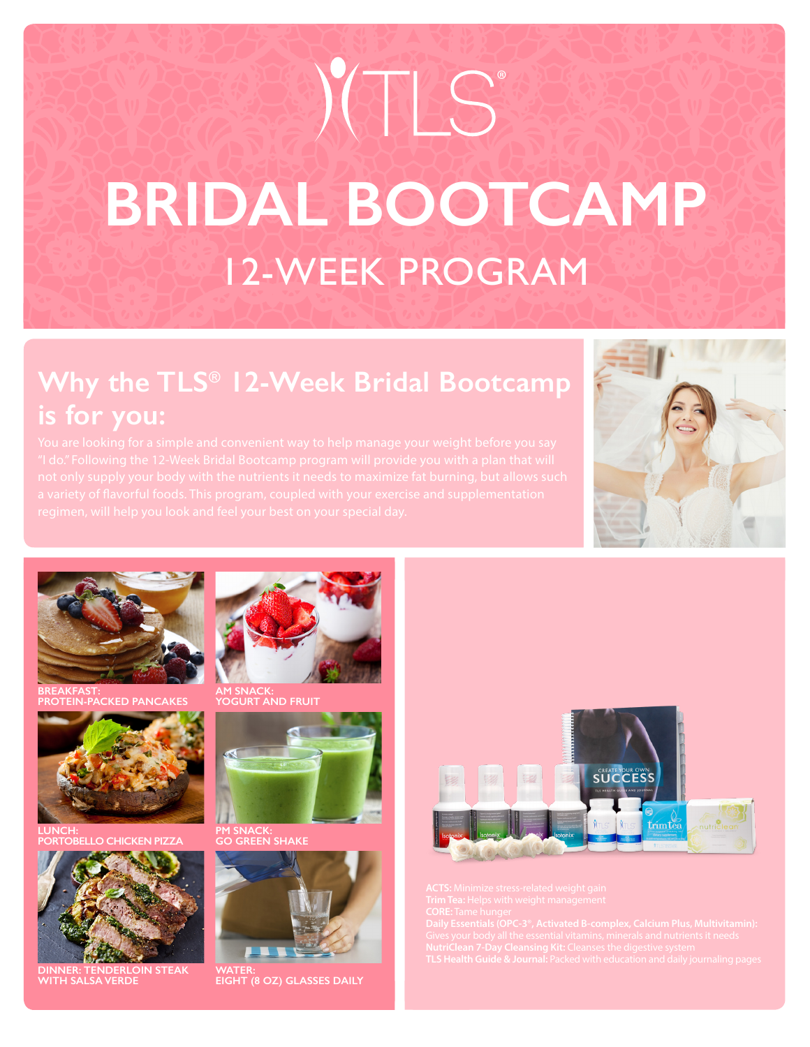# 12-WEEK PROGRAM **BRIDAL BOOTCAMP** IC®

# **Why the TLS® 12-Week Bridal Bootcamp is for you:**





**BREAKFAST: PROTEIN-PACKED PANCAKES**



**LUNCH: PORTO PIZZA** 



**DINNER: TENDERLOIN STEAK WITH SALSA VERDE**



**AM SNACK: YOGURT AND FRUIT**



**GO GREEN SHAKE**



**WATER: EIGHT (8 OZ) GLASSES DAILY**